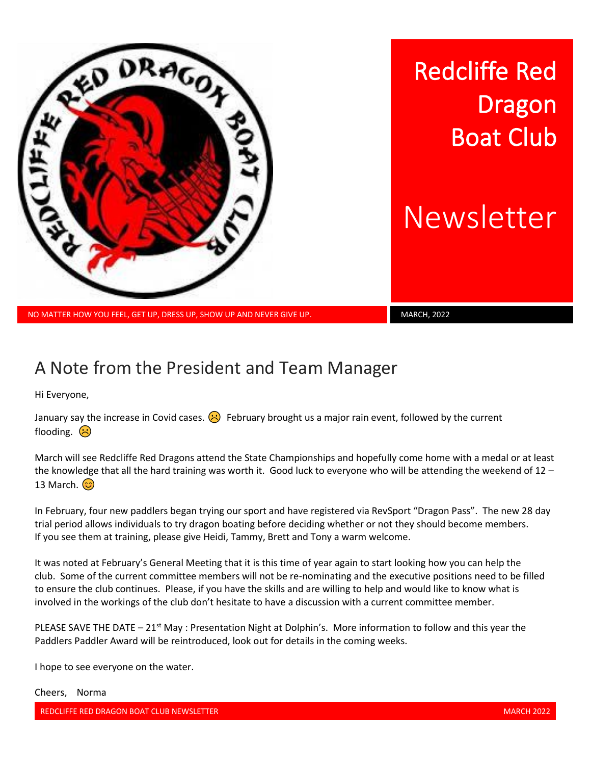

NO MATTER HOW YOU FEEL, GET UP, DRESS UP, SHOW UP AND NEVER GIVE UP. MARCH, 2022

## A Note from the President and Team Manager

Hi Everyone,

January say the increase in Covid cases.  $\langle \cdot \rangle$  February brought us a major rain event, followed by the current flooding.  $\left(\frac{1}{2}\right)$ 

March will see Redcliffe Red Dragons attend the State Championships and hopefully come home with a medal or at least the knowledge that all the hard training was worth it. Good luck to everyone who will be attending the weekend of 12 – 13 March.  $\odot$ 

In February, four new paddlers began trying our sport and have registered via RevSport "Dragon Pass". The new 28 day trial period allows individuals to try dragon boating before deciding whether or not they should become members. If you see them at training, please give Heidi, Tammy, Brett and Tony a warm welcome.

It was noted at February's General Meeting that it is this time of year again to start looking how you can help the club. Some of the current committee members will not be re-nominating and the executive positions need to be filled to ensure the club continues. Please, if you have the skills and are willing to help and would like to know what is involved in the workings of the club don't hesitate to have a discussion with a current committee member.

PLEASE SAVE THE DATE – 21<sup>st</sup> May : Presentation Night at Dolphin's. More information to follow and this year the Paddlers Paddler Award will be reintroduced, look out for details in the coming weeks.

I hope to see everyone on the water.

Cheers, Norma

REDCLIFFE RED DRAGON BOAT CLUB NEWSLETTER MARCH 2002 AND THE REDGLIFFE REDGLIFFE RED DRAGON BOAT CLUB NEWSLETTER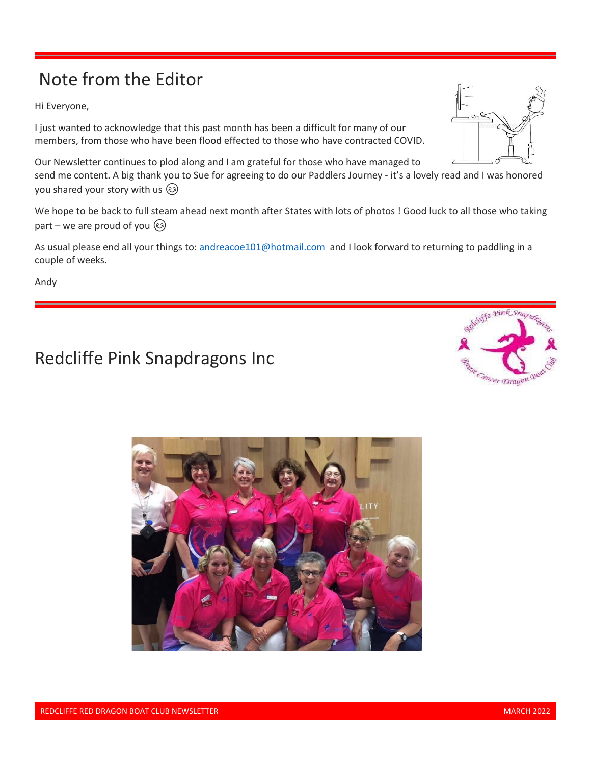# Note from the Editor

Hi Everyone,

I just wanted to acknowledge that this past month has been a difficult for many of our members, from those who have been flood effected to those who have contracted COVID.

Our Newsletter continues to plod along and I am grateful for those who have managed to

send me content. A big thank you to Sue for agreeing to do our Paddlers Journey - it's a lovely read and I was honored you shared your story with us

We hope to be back to full steam ahead next month after States with lots of photos ! Good luck to all those who taking part – we are proud of you  $\circled{)}$ 

As usual please end all your things to: [andreacoe101@hotmail.com](mailto:andreacoe101@hotmail.com) and I look forward to returning to paddling in a couple of weeks.

Andy

# Redcliffe Pink Snapdragons Inc





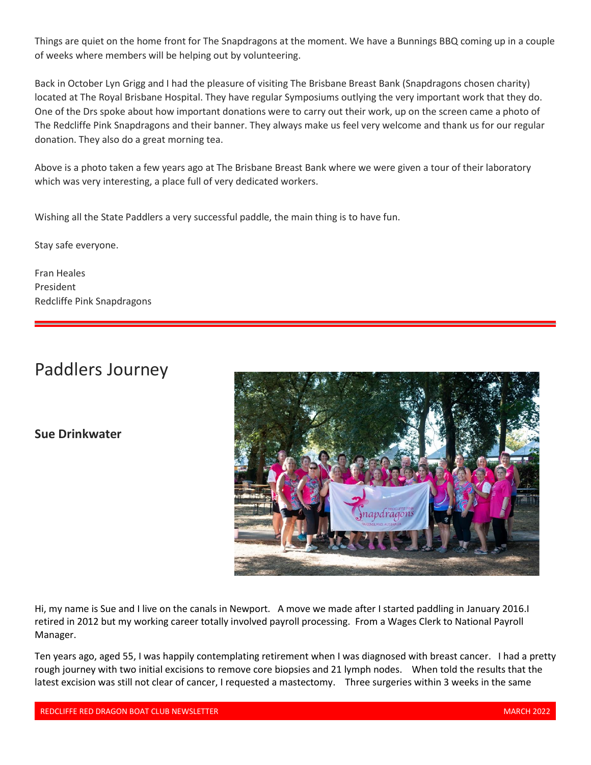Things are quiet on the home front for The Snapdragons at the moment. We have a Bunnings BBQ coming up in a couple of weeks where members will be helping out by volunteering.

Back in October Lyn Grigg and I had the pleasure of visiting The Brisbane Breast Bank (Snapdragons chosen charity) located at The Royal Brisbane Hospital. They have regular Symposiums outlying the very important work that they do. One of the Drs spoke about how important donations were to carry out their work, up on the screen came a photo of The Redcliffe Pink Snapdragons and their banner. They always make us feel very welcome and thank us for our regular donation. They also do a great morning tea.

Above is a photo taken a few years ago at The Brisbane Breast Bank where we were given a tour of their laboratory which was very interesting, a place full of very dedicated workers.

Wishing all the State Paddlers a very successful paddle, the main thing is to have fun.

Stay safe everyone.

Fran Heales President Redcliffe Pink Snapdragons

### Paddlers Journey

#### **Sue Drinkwater**



Hi, my name is Sue and I live on the canals in Newport. A move we made after I started paddling in January 2016.I retired in 2012 but my working career totally involved payroll processing. From a Wages Clerk to National Payroll Manager.

Ten years ago, aged 55, I was happily contemplating retirement when I was diagnosed with breast cancer. I had a pretty rough journey with two initial excisions to remove core biopsies and 21 lymph nodes. When told the results that the latest excision was still not clear of cancer, I requested a mastectomy. Three surgeries within 3 weeks in the same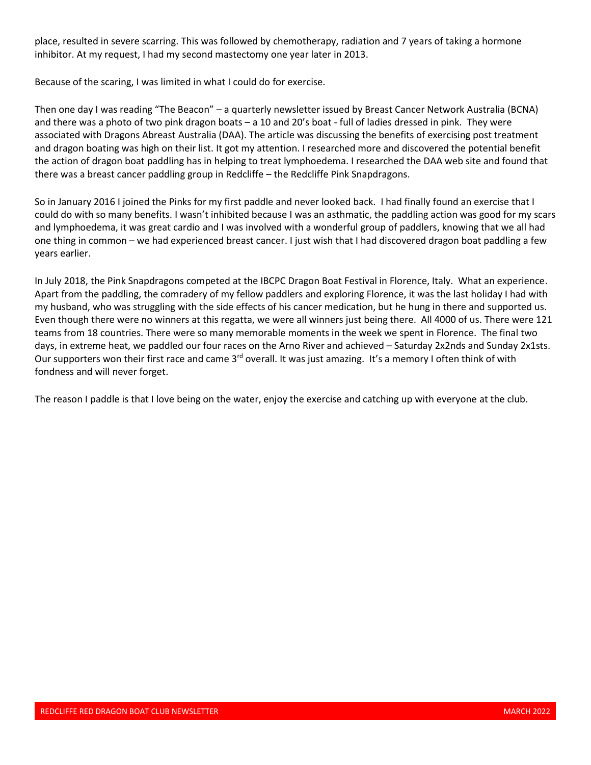place, resulted in severe scarring. This was followed by chemotherapy, radiation and 7 years of taking a hormone inhibitor. At my request, I had my second mastectomy one year later in 2013.

Because of the scaring, I was limited in what I could do for exercise.

Then one day I was reading "The Beacon" – a quarterly newsletter issued by Breast Cancer Network Australia (BCNA) and there was a photo of two pink dragon boats – a 10 and 20's boat - full of ladies dressed in pink. They were associated with Dragons Abreast Australia (DAA). The article was discussing the benefits of exercising post treatment and dragon boating was high on their list. It got my attention. I researched more and discovered the potential benefit the action of dragon boat paddling has in helping to treat lymphoedema. I researched the DAA web site and found that there was a breast cancer paddling group in Redcliffe – the Redcliffe Pink Snapdragons.

So in January 2016 I joined the Pinks for my first paddle and never looked back. I had finally found an exercise that I could do with so many benefits. I wasn't inhibited because I was an asthmatic, the paddling action was good for my scars and lymphoedema, it was great cardio and I was involved with a wonderful group of paddlers, knowing that we all had one thing in common – we had experienced breast cancer. I just wish that I had discovered dragon boat paddling a few years earlier.

In July 2018, the Pink Snapdragons competed at the IBCPC Dragon Boat Festival in Florence, Italy. What an experience. Apart from the paddling, the comradery of my fellow paddlers and exploring Florence, it was the last holiday I had with my husband, who was struggling with the side effects of his cancer medication, but he hung in there and supported us. Even though there were no winners at this regatta, we were all winners just being there. All 4000 of us. There were 121 teams from 18 countries. There were so many memorable moments in the week we spent in Florence. The final two days, in extreme heat, we paddled our four races on the Arno River and achieved – Saturday 2x2nds and Sunday 2x1sts. Our supporters won their first race and came  $3<sup>rd</sup>$  overall. It was just amazing. It's a memory I often think of with fondness and will never forget.

The reason I paddle is that I love being on the water, enjoy the exercise and catching up with everyone at the club.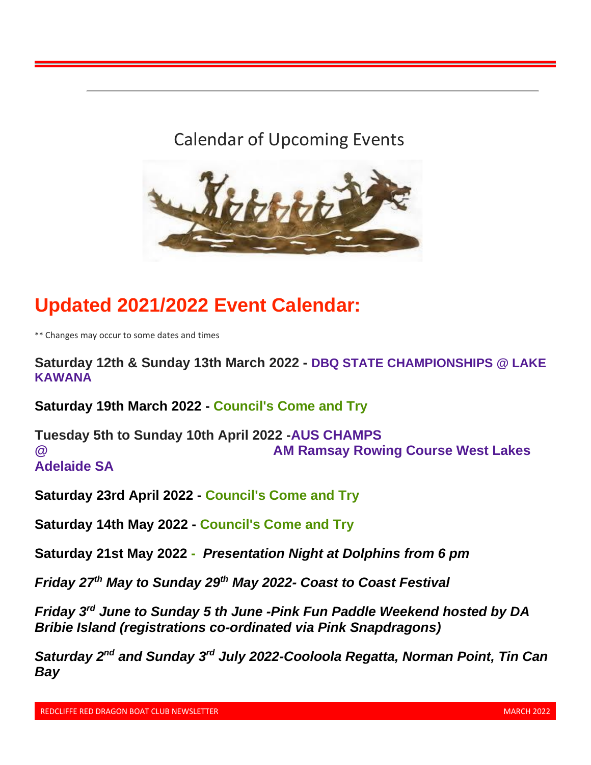### Calendar of Upcoming Events



# **Updated 2021/2022 Event Calendar:**

\*\* Changes may occur to some dates and times

**Saturday 12th & Sunday 13th March 2022 - DBQ STATE CHAMPIONSHIPS @ LAKE KAWANA**

**Saturday 19th March 2022 - Council's Come and Try**

**Tuesday 5th to Sunday 10th April 2022 -AUS CHAMPS 2 AM Ramsay Rowing Course West Lakes AM Ramsay Rowing Course West Lakes Adelaide SA**

**Saturday 23rd April 2022 - Council's Come and Try**

**Saturday 14th May 2022 - Council's Come and Try**

**Saturday 21st May 2022 -** *Presentation Night at Dolphins from 6 pm*

*Friday 27th May to Sunday 29th May 2022- Coast to Coast Festival*

*Friday 3rd June to Sunday 5 th June -Pink Fun Paddle Weekend hosted by DA Bribie Island (registrations co-ordinated via Pink Snapdragons)*

*Saturday 2nd and Sunday 3 rd July 2022-Cooloola Regatta, Norman Point, Tin Can Bay*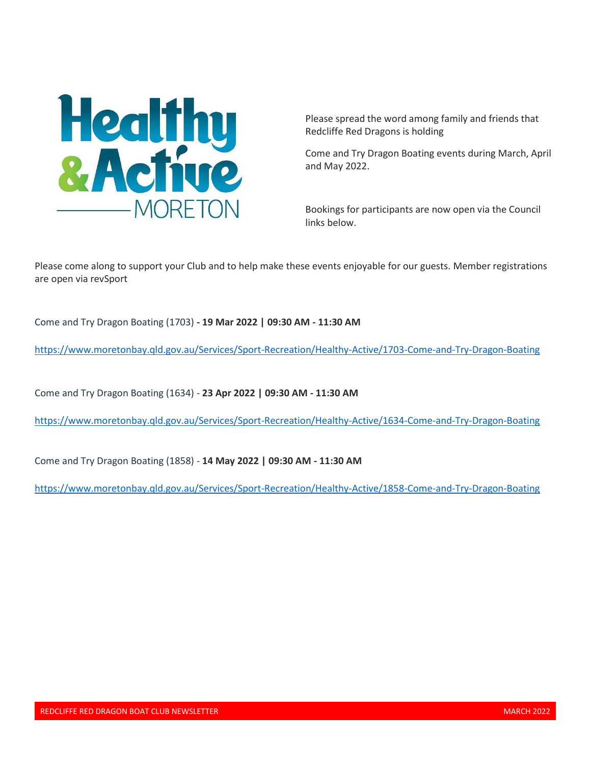

Please spread the word among family and friends that Redcliffe Red Dragons is holding

Come and Try Dragon Boating events during March, April and May 2022.

Bookings for participants are now open via the Council links below.

Please come along to support your Club and to help make these events enjoyable for our guests. Member registrations are open via revSport

Come and Try Dragon Boating (1703) **- 19 Mar 2022 | 09:30 AM - 11:30 AM**

[https://www.moretonbay.qld.gov.au/Services/Sport-Recreation/Healthy-Active/1703-Come-and-Try-Dragon-Boating](https://nam12.safelinks.protection.outlook.com/?url=https%3A%2F%2Fwww.moretonbay.qld.gov.au%2FServices%2FSport-Recreation%2FHealthy-Active%2F1703-Come-and-Try-Dragon-Boating&data=04%7C01%7C%7C2e9242a982d149a37e0708d9f8d9aa3b%7C84df9e7fe9f640afb435aaaaaaaaaaaa%7C1%7C0%7C637814436009512208%7CUnknown%7CTWFpbGZsb3d8eyJWIjoiMC4wLjAwMDAiLCJQIjoiV2luMzIiLCJBTiI6Ik1haWwiLCJXVCI6Mn0%3D%7C3000&sdata=zcdYJ%2BpxiYT1Z%2Bhv5bp77xOF8zkp45vMWoMgOK42ja4%3D&reserved=0)

Come and Try Dragon Boating (1634) - **23 Apr 2022 | 09:30 AM - 11:30 AM**

[https://www.moretonbay.qld.gov.au/Services/Sport-Recreation/Healthy-Active/1634-Come-and-Try-Dragon-Boating](https://nam12.safelinks.protection.outlook.com/?url=https%3A%2F%2Fwww.moretonbay.qld.gov.au%2FServices%2FSport-Recreation%2FHealthy-Active%2F1634-Come-and-Try-Dragon-Boating&data=04%7C01%7C%7C2e9242a982d149a37e0708d9f8d9aa3b%7C84df9e7fe9f640afb435aaaaaaaaaaaa%7C1%7C0%7C637814436009512208%7CUnknown%7CTWFpbGZsb3d8eyJWIjoiMC4wLjAwMDAiLCJQIjoiV2luMzIiLCJBTiI6Ik1haWwiLCJXVCI6Mn0%3D%7C3000&sdata=qBP%2F7e46vT9kXUyv3LAT4UkWn%2F9bu%2FmWsjLQma1xy28%3D&reserved=0)

Come and Try Dragon Boating (1858) - **14 May 2022 | 09:30 AM - 11:30 AM**

[https://www.moretonbay.qld.gov.au/Services/Sport-Recreation/Healthy-Active/1858-Come-and-Try-Dragon-Boating](https://nam12.safelinks.protection.outlook.com/?url=https%3A%2F%2Fwww.moretonbay.qld.gov.au%2FServices%2FSport-Recreation%2FHealthy-Active%2F1858-Come-and-Try-Dragon-Boating&data=04%7C01%7C%7C2e9242a982d149a37e0708d9f8d9aa3b%7C84df9e7fe9f640afb435aaaaaaaaaaaa%7C1%7C0%7C637814436009512208%7CUnknown%7CTWFpbGZsb3d8eyJWIjoiMC4wLjAwMDAiLCJQIjoiV2luMzIiLCJBTiI6Ik1haWwiLCJXVCI6Mn0%3D%7C3000&sdata=H4Io6LUQZy1L97mJPKHMDQMtmnFqLhVV92uz5FEFOmQ%3D&reserved=0)